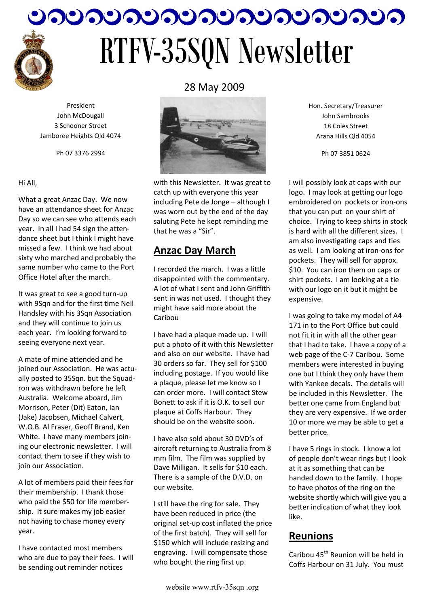

# つりつりつりつりつりつりつりつりつり。 RTFV-35SQN Newsletter

President John McDougall 3 Schooner Street Jamboree Heights Qld 4074

Ph 07 3376 2994

#### Hi All,

What a great Anzac Day. We now have an attendance sheet for Anzac Day so we can see who attends each year. In all I had 54 sign the attendance sheet but I think I might have missed a few. I think we had about sixty who marched and probably the same number who came to the Port Office Hotel after the march.

It was great to see a good turn-up with 9Sqn and for the first time Neil Handsley with his 3Sqn Association and they will continue to join us each year. I'm looking forward to seeing everyone next year.

A mate of mine attended and he joined our Association. He was actually posted to 35Sqn. but the Squadron was withdrawn before he left Australia. Welcome aboard, Jim Morrison, Peter (Dit) Eaton, Ian (Jake) Jacobsen, Michael Calvert, W.O.B. Al Fraser, Geoff Brand, Ken White. I have many members joining our electronic newsletter. I will contact them to see if they wish to join our Association.

A lot of members paid their fees for their membership. I thank those who paid the \$50 for life membership. It sure makes my job easier not having to chase money every year.

I have contacted most members who are due to pay their fees. I will be sending out reminder notices



with this Newsletter. It was great to catch up with everyone this year including Pete de Jonge – although I was worn out by the end of the day saluting Pete he kept reminding me that he was a "Sir".

# **Anzac Day March**

I recorded the march. I was a little disappointed with the commentary. A lot of what I sent and John Griffith sent in was not used. I thought they might have said more about the Caribou

I have had a plaque made up. I will put a photo of it with this Newsletter and also on our website. I have had 30 orders so far. They sell for \$100 including postage. If you would like a plaque, please let me know so I can order more. I will contact Stew Bonett to ask if it is O.K. to sell our plaque at Coffs Harbour. They should be on the website soon.

I have also sold about 30 DVD's of aircraft returning to Australia from 8 mm film. The film was supplied by Dave Milligan. It sells for \$10 each. There is a sample of the D.V.D. on our website.

I still have the ring for sale. They have been reduced in price (the original set-up cost inflated the price of the first batch). They will sell for \$150 which will include resizing and engraving. I will compensate those who bought the ring first up.

Hon. Secretary/Treasurer John Sambrooks 18 Coles Street Arana Hills Qld 4054

Ph 07 3851 0624

I will possibly look at caps with our logo. I may look at getting our logo embroidered on pockets or iron-ons that you can put on your shirt of choice. Trying to keep shirts in stock is hard with all the different sizes. I am also investigating caps and ties as well. I am looking at iron-ons for pockets. They will sell for approx. \$10. You can iron them on caps or shirt pockets. I am looking at a tie with our logo on it but it might be expensive.

I was going to take my model of A4 171 in to the Port Office but could not fit it in with all the other gear that I had to take. I have a copy of a web page of the C-7 Caribou. Some members were interested in buying one but I think they only have them with Yankee decals. The details will be included in this Newsletter. The better one came from England but they are very expensive. If we order 10 or more we may be able to get a better price.

I have 5 rings in stock. I know a lot of people don't wear rings but I look at it as something that can be handed down to the family. I hope to have photos of the ring on the website shortly which will give you a better indication of what they look like.

# **Reunions**

Caribou 45<sup>th</sup> Reunion will be held in Coffs Harbour on 31 July. You must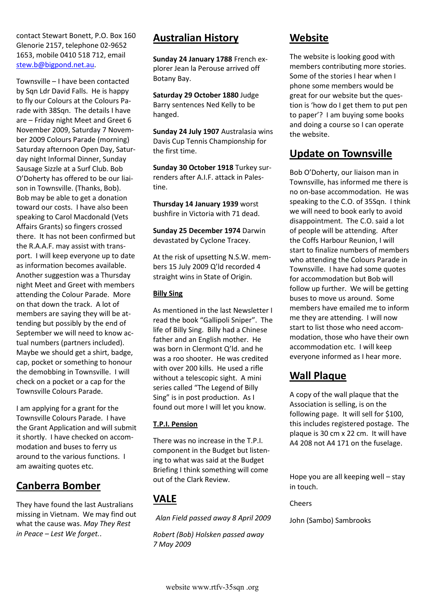contact Stewart Bonett, P.O. Box 160 Glenorie 2157, telephone 02-9652 1653, mobile 0410 518 712, email [stew.b@bigpond.net.au.](mailto:stew.b@bigpond.net.au)

Townsville – I have been contacted by Sqn Ldr David Falls. He is happy to fly our Colours at the Colours Parade with 38Sqn. The details I have are – Friday night Meet and Greet 6 November 2009, Saturday 7 November 2009 Colours Parade (morning) Saturday afternoon Open Day, Saturday night Informal Dinner, Sunday Sausage Sizzle at a Surf Club. Bob O'Doherty has offered to be our liaison in Townsville. (Thanks, Bob). Bob may be able to get a donation toward our costs. I have also been speaking to Carol Macdonald (Vets Affairs Grants) so fingers crossed there. It has not been confirmed but the R.A.A.F. may assist with transport. I will keep everyone up to date as information becomes available. Another suggestion was a Thursday night Meet and Greet with members attending the Colour Parade. More on that down the track. A lot of members are saying they will be attending but possibly by the end of September we will need to know actual numbers (partners included). Maybe we should get a shirt, badge, cap, pocket or something to honour the demobbing in Townsville. I will check on a pocket or a cap for the Townsville Colours Parade.

I am applying for a grant for the Townsville Colours Parade. I have the Grant Application and will submit it shortly. I have checked on accommodation and buses to ferry us around to the various functions. I am awaiting quotes etc.

## **Canberra Bomber**

They have found the last Australians missing in Vietnam. We may find out what the cause was. *May They Rest in Peace – Lest We forget.*.

# **Australian History**

**Sunday 24 January 1788** French explorer Jean la Perouse arrived off Botany Bay.

**Saturday 29 October 1880** Judge Barry sentences Ned Kelly to be hanged.

**Sunday 24 July 1907** Australasia wins Davis Cup Tennis Championship for the first time.

**Sunday 30 October 1918** Turkey surrenders after A.I.F. attack in Palestine.

**Thursday 14 January 1939** worst bushfire in Victoria with 71 dead.

**Sunday 25 December 1974** Darwin devastated by Cyclone Tracey.

At the risk of upsetting N.S.W. members 15 July 2009 Q'ld recorded 4 straight wins in State of Origin.

#### **Billy Sing**

As mentioned in the last Newsletter I read the book "Gallipoli Sniper". The life of Billy Sing. Billy had a Chinese father and an English mother. He was born in Clermont Q'ld. and he was a roo shooter. He was credited with over 200 kills. He used a rifle without a telescopic sight. A mini series called "The Legend of Billy Sing" is in post production. As I found out more I will let you know.

#### **T.P.I. Pension**

There was no increase in the T.P.I. component in the Budget but listening to what was said at the Budget Briefing I think something will come out of the Clark Review.

# **VALE**

*Alan Field passed away 8 April 2009* 

*Robert (Bob) Holsken passed away 7 May 2009*

## **Website**

The website is looking good with members contributing more stories. Some of the stories I hear when I phone some members would be great for our website but the question is 'how do I get them to put pen to paper'? I am buying some books and doing a course so I can operate the website.

# **Update on Townsville**

Bob O'Doherty, our liaison man in Townsville, has informed me there is no on-base accommodation. He was speaking to the C.O. of 35Sqn. I think we will need to book early to avoid disappointment. The C.O. said a lot of people will be attending. After the Coffs Harbour Reunion, I will start to finalize numbers of members who attending the Colours Parade in Townsville. I have had some quotes for accommodation but Bob will follow up further. We will be getting buses to move us around. Some members have emailed me to inform me they are attending. I will now start to list those who need accommodation, those who have their own accommodation etc. I will keep everyone informed as I hear more.

# **Wall Plaque**

A copy of the wall plaque that the Association is selling, is on the following page. It will sell for \$100, this includes registered postage. The plaque is 30 cm x 22 cm. It will have A4 208 not A4 171 on the fuselage.

Hope you are all keeping well – stay in touch.

Cheers

John (Sambo) Sambrooks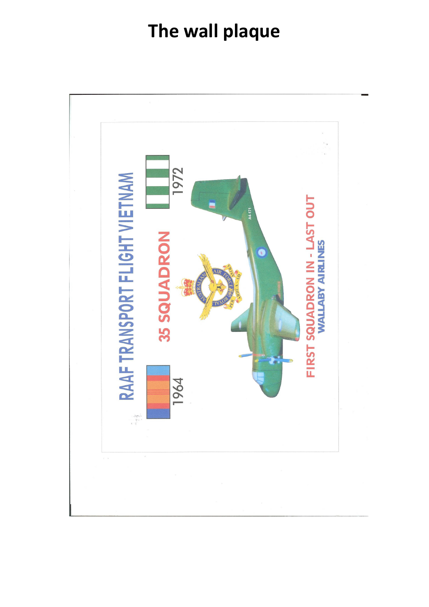# **The wall plaque**